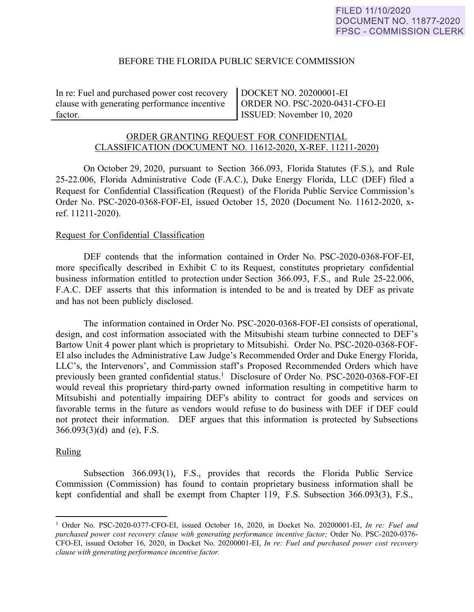# BEFORE THE FLORIDA PUBLIC SERVICE COMMISSION

In re: Fuel and purchased power cost recovery clause with generating performance incentive factor.

DOCKET NO. 20200001-EI ORDER NO. PSC-2020-0431-CFO-EI ISSUED: November 10, 2020

# ORDER GRANTING REQUEST FOR CONFIDENTIAL CLASSIFICATION (DOCUMENT NO. 11612-2020, X-REF. 11211-2020)

On October 29, 2020, pursuant to Section 366.093, Florida Statutes (F.S.), and Rule 25-22.006, Florida Administrative Code (F.A.C.), Duke Energy Florida, LLC (DEF) filed a Request for Confidential Classification (Request) of the Florida Public Service Commission's Order No. PSC-2020-0368-FOF-EI, issued October 15, 2020 (Document No. 11612-2020, xref. 11211-2020).

### Request for Confidential Classification

DEF contends that the information contained in Order No. PSC-2020-0368-FOF-EI, more specifically described in Exhibit C to its Request, constitutes proprietary confidential business information entitled to protection under Section 366.093, F.S., and Rule 25-22.006, F.A.C. DEF asserts that this information is intended to be and is treated by DEF as private and has not been publicly disclosed.

 The information contained in Order No. PSC-2020-0368-FOF-EI consists of operational, design, and cost information associated with the Mitsubishi steam turbine connected to DEF's Bartow Unit 4 power plant which is proprietary to Mitsubishi. Order No. PSC-2020-0368-FOF-EI also includes the Administrative Law Judge's Recommended Order and Duke Energy Florida, LLC's, the Intervenors', and Commission staff's Proposed Recommended Orders which have previously been granted confidential status.<sup>1</sup> Disclosure of Order No. PSC-2020-0368-FOF-EI would reveal this proprietary third-party owned information resulting in competitive harm to Mitsubishi and potentially impairing DEF's ability to contract for goods and services on favorable terms in the future as vendors would refuse to do business with DEF if DEF could not protect their information. DEF argues that this information is protected by Subsections 366.093(3)(d) and (e), F.S.

### Ruling

 $\overline{a}$ 

Subsection 366.093(1), F.S., provides that records the Florida Public Service Commission (Commission) has found to contain proprietary business information shall be kept confidential and shall be exempt from Chapter 119, F.S. Subsection 366.093(3), F.S.,

<sup>1</sup> Order No. PSC-2020-0377-CFO-EI, issued October 16, 2020, in Docket No. 20200001-EI, *In re: Fuel and purchased power cost recovery clause with generating performance incentive factor;* Order No. PSC-2020-0376-CFO-EI, issued October 16, 2020, in Docket No. 20200001-EI, *In re: Fuel and purchased power cost recovery clause with generating performance incentive factor.*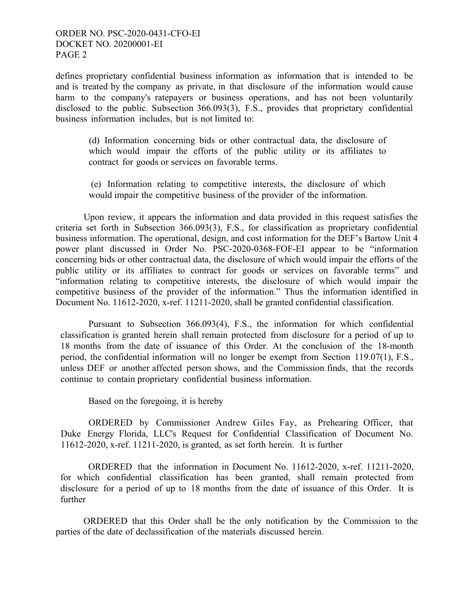# ORDER NO. PSC-2020-0431-CFO-EI DOCKET NO. 20200001-EI PAGE 2

defines proprietary confidential business information as information that is intended to be and is treated by the company as private, in that disclosure of the information would cause harm to the company's ratepayers or business operations, and has not been voluntarily disclosed to the public. Subsection 366.093(3), F.S., provides that proprietary confidential business information includes, but is not limited to:

(d) Information concerning bids or other contractual data, the disclosure of which would impair the efforts of the public utility or its affiliates to contract for goods or services on favorable terms.

(e) Information relating to competitive interests, the disclosure of which would impair the competitive business of the provider of the information.

 Upon review, it appears the information and data provided in this request satisfies the criteria set forth in Subsection 366.093(3), F.S., for classification as proprietary confidential business information. The operational, design, and cost information for the DEF's Bartow Unit 4 power plant discussed in Order No. PSC-2020-0368-FOF-EI appear to be "information concerning bids or other contractual data, the disclosure of which would impair the efforts of the public utility or its affiliates to contract for goods or services on favorable terms" and "information relating to competitive interests, the disclosure of which would impair the competitive business of the provider of the information." Thus the information identified in Document No. 11612-2020, x-ref. 11211-2020, shall be granted confidential classification.

Pursuant to Subsection 366.093(4), F.S., the information for which confidential classification is granted herein shall remain protected from disclosure for a period of up to 18 months from the date of issuance of this Order. At the conclusion of the 18-month period, the confidential information will no longer be exempt from Section 119.07(1), F.S., unless DEF or another affected person shows, and the Commission finds, that the records continue to contain proprietary confidential business information.

Based on the foregoing, it is hereby

ORDERED by Commissioner Andrew Giles Fay, as Prehearing Officer, that Duke Energy Florida, LLC's Request for Confidential Classification of Document No. 11612-2020, x-ref. 11211-2020, is granted, as set forth herein. It is further

ORDERED that the information in Document No. 11612-2020, x-ref. 11211-2020, for which confidential classification has been granted, shall remain protected from disclosure for a period of up to 18 months from the date of issuance of this Order. It is further

 ORDERED that this Order shall be the only notification by the Commission to the parties of the date of declassification of the materials discussed herein.